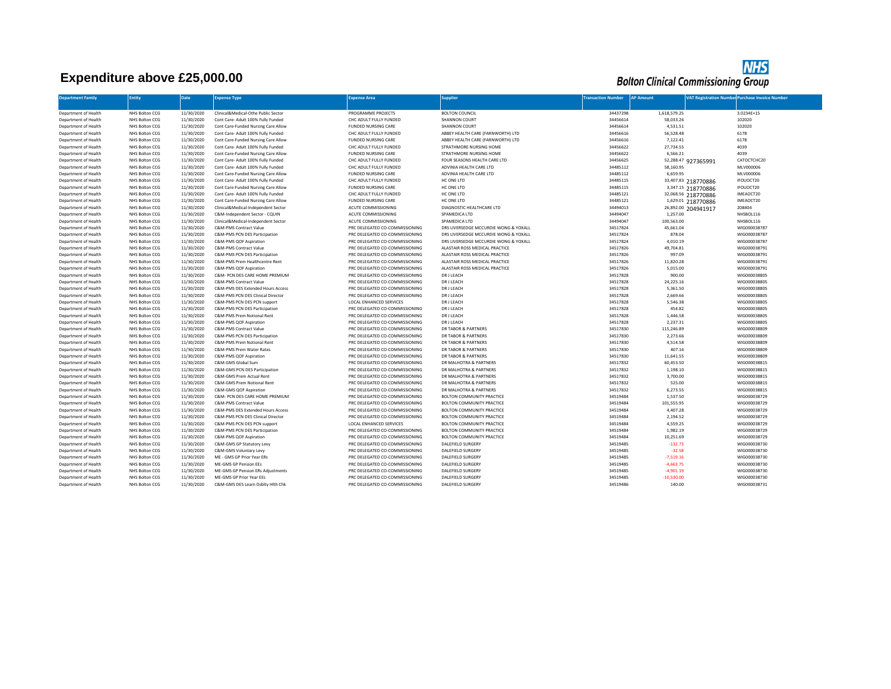## **Expenditure above £25,000.00**



| <b>Department Family</b> | <b>Intity</b>                    | Date       | <b>Expense Type</b>                                                       | <b>Expense Area</b>            | <b>iupplier</b>                       | <b>Fransaction Number</b> | <b>AP Amount</b> |                                           | <b>VAT Registration Number Purchase Invoice Number</b> |
|--------------------------|----------------------------------|------------|---------------------------------------------------------------------------|--------------------------------|---------------------------------------|---------------------------|------------------|-------------------------------------------|--------------------------------------------------------|
| Department of Health     | NHS Bolton CCG                   | 11/30/2020 | Clinical&Medical-Othe Public Sector                                       | PROGRAMME PROJECTS             | <b>BOLTON COUNCIL</b>                 | 34437298                  | 1.618.579.25     |                                           | 3.0234E+15                                             |
| Department of Health     | NHS Bolton CCG                   | 11/30/2020 | Cont Care- Adult 100% Fully Funded                                        | CHC ADULT FULLY FUNDED         | <b>SHANNON COURT</b>                  | 34456614                  | 58,033.26        |                                           | 102020                                                 |
| Department of Health     | NHS Bolton CCG                   | 11/30/2020 | Cont Care-Funded Nursing Care Allow                                       | <b>FUNDED NURSING CARE</b>     | <b>SHANNON COURT</b>                  | 34456614                  | 4,531.51         |                                           | 102020                                                 |
| Department of Health     | NHS Bolton CCG                   | 11/30/2020 | Cont Care- Adult 100% Fully Funded                                        | CHC ADULT FULLY FUNDED         | ABBEY HEALTH CARE (FARNWORTH) LTD     | 34456616                  | 56,528.48        |                                           | 6178                                                   |
| Department of Health     |                                  | 11/30/2020 |                                                                           | <b>FUNDED NURSING CARE</b>     | ABBEY HEALTH CARE (FARNWORTH) LTD     | 34456616                  | 7,122.41         |                                           | 6178                                                   |
| Department of Health     | NHS Bolton CCG<br>NHS Bolton CCG | 11/30/2020 | Cont Care-Funded Nursing Care Allow<br>Cont Care- Adult 100% Fully Funded | CHC ADULT FULLY FUNDED         | STRATHMORE NURSING HOME               | 34456622                  | 27,734.55        |                                           | 4039                                                   |
| Department of Health     | NHS Bolton CCG                   | 11/30/2020 | Cont Care-Funded Nursing Care Allow                                       | <b>FUNDED NURSING CARE</b>     | STRATHMORE NURSING HOME               | 34456622                  | 6,566.21         |                                           | 4039                                                   |
| Department of Health     | NHS Bolton CCG                   | 11/30/2020 | Cont Care- Adult 100% Fully Funded                                        | CHC ADULT FULLY FUNDED         | FOUR SEASONS HEALTH CARE LTD          | 34456625                  |                  |                                           | CATOCTCHC20                                            |
| Department of Health     | NHS Bolton CCG                   | 11/30/2020 | Cont Care- Adult 100% Fully Funded                                        | CHC ADULT FULLY FUNDED         | ADVINIA HEALTH CARE LTD               | 34485112                  | 58,160.95        | 52,288.47 927365991                       | MLV000006                                              |
| Department of Health     | NHS Bolton CCG                   | 11/30/2020 | Cont Care-Funded Nursing Care Allow                                       | <b>FUNDED NURSING CARE</b>     | ADVINIA HEALTH CARE LTD               | 34485112                  | 6,659.95         |                                           | MLV000006                                              |
| Department of Health     | NHS Bolton CCG                   | 11/30/2020 | Cont Care- Adult 100% Fully Funded                                        | CHC ADULT FULLY FUNDED         | HC ONE LTD                            | 34485115                  |                  | 33,407.83 218770886                       | IFOUOCT20                                              |
| Department of Health     | NHS Bolton CCG                   | 11/30/2020 | Cont Care-Funded Nursing Care Allow                                       | <b>FUNDED NURSING CARE</b>     | HC ONE LTD                            | 34485115                  |                  | 3,347.15 218770886                        | IFOUOCT20                                              |
| Department of Health     | NHS Bolton CCG                   | 11/30/2020 | Cont Care- Adult 100% Fully Funded                                        | CHC ADULT FULLY FUNDED         | HC ONE LTD                            | 34485121                  |                  | 32,068.56 218770886                       | IMEAOCT20                                              |
| Department of Health     | NHS Bolton CCG                   | 11/30/2020 | Cont Care-Funded Nursing Care Allow                                       | <b>FUNDED NURSING CARE</b>     | HC ONE LTD                            | 34485121                  |                  |                                           | IMEAOCT20                                              |
| Department of Health     | NHS Bolton CCG                   | 11/30/2020 | Clinical&Medical-Independent Sector                                       | ACUTE COMMISSIONING            | DIAGNOSTIC HEALTHCARE LTD             | 34494013                  |                  | 1,629.01 218770886<br>26,892.00 204941917 | 208404                                                 |
| Department of Health     | NHS Bolton CCG                   | 11/30/2020 | C&M-Independent Sector - CQUIN                                            | ACUTE COMMISSIONING            | SPAMEDICA LTD                         | 34494047                  | 1,257.00         |                                           | NHSBOL116                                              |
| Department of Health     | NHS Bolton CCG                   | 11/30/2020 | Clinical&Medical-Independent Sector                                       | <b>ACUTE COMMISSIONING</b>     | SPAMEDICA LTD                         | 34494047                  | 100,563.00       |                                           | NHSBOL116                                              |
| Department of Health     | NHS Bolton CCG                   | 11/30/2020 | <b>C&amp;M-PMS Contract Value</b>                                         | PRC DELEGATED CO-COMMISSIONING | DRS LIVERSEDGE MCCURDIE WONG & YOXALL | 34517824                  | 45,661.04        |                                           | WIG000038787                                           |
| Department of Health     | NHS Bolton CCG                   | 11/30/2020 | C&M-PMS PCN DES Participation                                             | PRC DELEGATED CO-COMMISSIONING | DRS LIVERSEDGE MCCURDIE WONG & YOXALL | 34517824                  | 878.04           |                                           | WIG000038787                                           |
| Department of Health     | NHS Bolton CCG                   | 11/30/2020 | C&M-PMS QOF Aspiration                                                    | PRC DELEGATED CO-COMMISSIONING | DRS LIVERSEDGE MCCURDIE WONG & YOXALL | 34517824                  | 4,010.19         |                                           | WIG000038787                                           |
| Department of Health     | NHS Bolton CCG                   | 11/30/2020 | C&M-PMS Contract Value                                                    | PRC DELEGATED CO-COMMISSIONING | ALASTAIR ROSS MEDICAL PRACTICE        | 34517826                  | 49,704.81        |                                           | WIG000038791                                           |
| Department of Health     | NHS Bolton CCG                   | 11/30/2020 | C&M-PMS PCN DES Participation                                             | PRC DELEGATED CO-COMMISSIONING | ALASTAIR ROSS MEDICAL PRACTICE        | 34517826                  | 997.09           |                                           | WIG000038791                                           |
| Department of Health     | NHS Bolton CCG                   | 11/30/2020 | C&M-PMS Prem Healthcentre Rent                                            | PRC DELEGATED CO-COMMISSIONING | ALASTAIR ROSS MEDICAL PRACTICE        | 34517826                  | 11,820.28        |                                           | WIG000038791                                           |
| Department of Health     | NHS Bolton CCG                   | 11/30/2020 | C&M-PMS QOF Aspiration                                                    | PRC DELEGATED CO-COMMISSIONING | ALASTAIR ROSS MEDICAL PRACTICE        | 34517826                  | 5,015.00         |                                           | WIG000038791                                           |
| Department of Health     | NHS Bolton CCG                   | 11/30/2020 | C&M- PCN DES CARE HOME PREMIUM                                            | PRC DELEGATED CO-COMMISSIONING | DR J LEACH                            | 34517828                  | 900.00           |                                           | WIG000038805                                           |
| Department of Health     | NHS Bolton CCG                   | 11/30/2020 | C&M-PMS Contract Value                                                    | PRC DELEGATED CO-COMMISSIONING | DR J LEACH                            | 34517828                  | 24,225.16        |                                           | WIG000038805                                           |
| Department of Health     | NHS Bolton CCG                   | 11/30/2020 | C&M-PMS DES Extended Hours Access                                         | PRC DELEGATED CO-COMMISSIONING | DR J LEACH                            | 34517828                  | 5,361.50         |                                           | WIG000038805                                           |
| Department of Health     | NHS Bolton CCG                   | 11/30/2020 | C&M-PMS PCN DES Clinical Director                                         | PRC DELEGATED CO-COMMISSIONING | DR J LEACH                            | 34517828                  | 2,669.66         |                                           | WIG000038805                                           |
| Department of Health     | NHS Bolton CCG                   | 11/30/2020 | C&M-PMS PCN DES PCN support                                               | LOCAL ENHANCED SERVICES        | DR J LEACH                            | 34517828                  | 5,546.38         |                                           | WIG000038805                                           |
| Department of Health     | NHS Bolton CCG                   | 11/30/2020 | C&M-PMS PCN DES Participation                                             | PRC DELEGATED CO-COMMISSIONING | DR J LEACH                            | 34517828                  | 454.82           |                                           | WIG000038805                                           |
| Department of Health     | NHS Bolton CCG                   | 11/30/2020 | C&M-PMS Prem Notional Rent                                                | PRC DELEGATED CO-COMMISSIONING | DR J LEACH                            | 34517828                  | 1,446.58         |                                           | WIG000038805                                           |
| Department of Health     | NHS Bolton CCG                   | 11/30/2020 | C&M-PMS QOF Aspiration                                                    | PRC DELEGATED CO-COMMISSIONING | DR J LEACH                            | 34517828                  | 2,237.31         |                                           | WIG000038805                                           |
| Department of Health     | NHS Bolton CCG                   | 11/30/2020 | C&M-PMS Contract Value                                                    | PRC DELEGATED CO-COMMISSIONING | DR TABOR & PARTNERS                   | 34517830                  | 115,246.89       |                                           | WIG000038809                                           |
| Department of Health     | NHS Bolton CCG                   | 11/30/2020 | C&M-PMS PCN DES Participation                                             | PRC DELEGATED CO-COMMISSIONING | <b>DR TABOR &amp; PARTNERS</b>        | 34517830                  | 2,273.66         |                                           | WIG000038809                                           |
| Department of Health     | NHS Bolton CCG                   | 11/30/2020 | C&M-PMS Prem Notional Rent                                                | PRC DELEGATED CO-COMMISSIONING | <b>DR TABOR &amp; PARTNERS</b>        | 34517830                  | 4,514.58         |                                           | WIG000038809                                           |
| Department of Health     | NHS Bolton CCG                   | 11/30/2020 | C&M-PMS Prem Water Rates                                                  | PRC DELEGATED CO-COMMISSIONING | <b>DR TABOR &amp; PARTNERS</b>        | 34517830                  | 407.16           |                                           | WIG000038809                                           |
| Department of Health     | NHS Bolton CCG                   | 11/30/2020 | C&M-PMS QOF Aspiration                                                    | PRC DELEGATED CO-COMMISSIONING | <b>DR TABOR &amp; PARTNERS</b>        | 34517830                  | 11,641.55        |                                           | WIG000038809                                           |
| Department of Health     | NHS Bolton CCG                   | 11/30/2020 | C&M-GMS Global Sum                                                        | PRC DELEGATED CO-COMMISSIONING | DR MALHOTRA & PARTNERS                | 34517832                  | 60,453.50        |                                           | WIG000038815                                           |
| Department of Health     | NHS Bolton CCG                   | 11/30/2020 | C&M-GMS PCN DES Participation                                             | PRC DELEGATED CO-COMMISSIONING | DR MALHOTRA & PARTNERS                | 34517832                  | 1,198.10         |                                           | WIG000038815                                           |
| Department of Health     | NHS Bolton CCG                   | 11/30/2020 | C&M-GMS Prem Actual Rent                                                  | PRC DELEGATED CO-COMMISSIONING | DR MALHOTRA & PARTNERS                | 34517832                  | 3,700.00         |                                           | WIG000038815                                           |
| Department of Health     | NHS Bolton CCG                   | 11/30/2020 | C&M-GMS Prem Notional Rent                                                | PRC DELEGATED CO-COMMISSIONING | DR MALHOTRA & PARTNERS                | 34517832                  | 525.00           |                                           | WIG000038815                                           |
| Department of Health     | NHS Bolton CCG                   | 11/30/2020 | C&M-GMS QOF Aspiration                                                    | PRC DELEGATED CO-COMMISSIONING | DR MALHOTRA & PARTNERS                | 34517832                  | 6,273.55         |                                           | WIG000038815                                           |
| Department of Health     | NHS Bolton CCG                   | 11/30/2020 | C&M- PCN DES CARE HOME PREMIUM                                            | PRC DELEGATED CO-COMMISSIONING | BOLTON COMMUNITY PRACTICE             | 34519484                  | 1,537.50         |                                           | WIG000038729                                           |
| Department of Health     | NHS Bolton CCG                   | 11/30/2020 | C&M-PMS Contract Value                                                    | PRC DELEGATED CO-COMMISSIONING | BOLTON COMMUNITY PRACTICE             | 34519484                  | 101,555.95       |                                           | WIG000038729                                           |
| Department of Health     | NHS Bolton CCG                   | 11/30/2020 | C&M-PMS DES Extended Hours Access                                         | PRC DELEGATED CO-COMMISSIONING | BOLTON COMMUNITY PRACTICE             | 34519484                  | 4,407.28         |                                           | WIG000038729                                           |
| Department of Health     | NHS Bolton CCG                   | 11/30/2020 | C&M-PMS PCN DES Clinical Director                                         | PRC DELEGATED CO-COMMISSIONING | BOLTON COMMUNITY PRACTICE             | 34519484                  | 2,194.52         |                                           | WIG000038729                                           |
| Department of Health     | NHS Bolton CCG                   | 11/30/2020 | C&M-PMS PCN DES PCN support                                               | LOCAL ENHANCED SERVICES        | BOLTON COMMUNITY PRACTICE             | 34519484                  | 4,559.25         |                                           | WIG000038729                                           |
| Department of Health     | NHS Bolton CCG                   | 11/30/2020 | C&M-PMS PCN DES Participation                                             | PRC DELEGATED CO-COMMISSIONING | BOLTON COMMUNITY PRACTICE             | 34519484                  | 1,982.19         |                                           | WIG000038729                                           |
| Department of Health     | NHS Bolton CCG                   | 11/30/2020 | C&M-PMS QOF Aspiration                                                    | PRC DELEGATED CO-COMMISSIONING | BOLTON COMMUNITY PRACTICE             | 34519484                  | 10,251.69        |                                           | WIG000038729                                           |
| Department of Health     | NHS Bolton CCG                   | 11/30/2020 | C&M-GMS GP Statutory Levy                                                 | PRC DELEGATED CO-COMMISSIONING | DALEFIELD SURGERY                     | 34519485                  | $-132.73$        |                                           | WIG000038730                                           |
| Department of Health     | NHS Bolton CCG                   | 11/30/2020 | C&M-GMS Voluntary Levy                                                    | PRC DELEGATED CO-COMMISSIONING | <b>DALEFIELD SURGERY</b>              | 34519485                  | $-32.58$         |                                           | WIG000038730                                           |
| Department of Health     | NHS Bolton CCG                   | 11/30/2020 | ME - GMS GP Prior Year ERs                                                | PRC DELEGATED CO-COMMISSIONING | DALEFIELD SURGERY                     | 34519485                  | $-7,519.16$      |                                           | WIG000038730                                           |
| Department of Health     | NHS Bolton CCG                   | 11/30/2020 | ME-GMS GP Pension EEs                                                     | PRC DELEGATED CO-COMMISSIONING | <b>DALEFIELD SURGERY</b>              | 34519485                  | $-4,663.75$      |                                           | WIG000038730                                           |
| Department of Health     | NHS Bolton CCG                   | 11/30/2020 | ME-GMS GP Pension ERs Adjustments                                         | PRC DELEGATED CO-COMMISSIONING | <b>DALEFIELD SURGERY</b>              | 34519485                  | $-4,901.19$      |                                           | WIG000038730                                           |
| Department of Health     | NHS Bolton CCG                   | 11/30/2020 | ME-GMS GP Prior Year EEs                                                  | PRC DELEGATED CO-COMMISSIONING | DALEFIELD SURGERY                     | 34519485                  | $-10,530.00$     |                                           | WIG000038730                                           |
| Department of Health     | NHS Bolton CCG                   | 11/30/2020 | C&M-GMS DES Learn Dsbltv Hlth Chk                                         | PRC DELEGATED CO-COMMISSIONING | <b>DALEFIELD SURGERY</b>              | 34519486                  | 140.00           |                                           | WIG000038731                                           |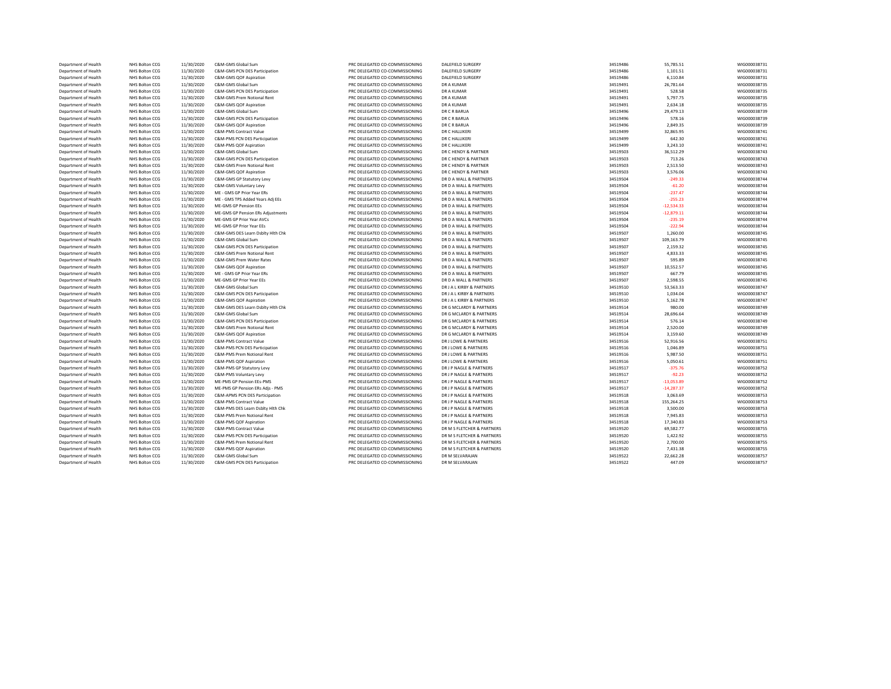| Department of Health | NHS Bolton CCG | 11/30/2020 | C&M-GMS Global Sum                | PRC DELEGATED CO-COMMISSIONING | <b>DALEFIELD SURGERY</b>   | 34519486 | 55,785.51    | WIG000038731 |
|----------------------|----------------|------------|-----------------------------------|--------------------------------|----------------------------|----------|--------------|--------------|
| Department of Health | NHS Bolton CCG | 11/30/2020 | C&M-GMS PCN DES Participation     | PRC DELEGATED CO-COMMISSIONING | DALEFIELD SURGERY          | 34519486 | 1,101.51     | WIG000038731 |
| Department of Health | NHS Bolton CCG | 11/30/2020 | C&M-GMS QOF Aspiration            | PRC DELEGATED CO-COMMISSIONING | <b>DALEFIELD SURGERY</b>   | 34519486 | 6,110.84     | WIG000038731 |
| Department of Health | NHS Bolton CCG | 11/30/2020 | C&M-GMS Global Sum                | PRC DELEGATED CO-COMMISSIONING | DR A KUMAR                 | 34519491 | 26,781.64    | WIG000038735 |
| Department of Health | NHS Bolton CCG | 11/30/2020 | C&M-GMS PCN DES Participation     | PRC DELEGATED CO-COMMISSIONING | DR A KUMAR                 | 34519491 | 528.58       | WIG000038735 |
| Department of Health | NHS Bolton CCG | 11/30/2020 | C&M-GMS Prem Notional Rent        | PRC DELEGATED CO-COMMISSIONING | DR A KUMAR                 | 34519491 | 5,797.75     | WIG000038735 |
| Department of Health | NHS Bolton CCG | 11/30/2020 | C&M-GMS QOF Aspiration            | PRC DELEGATED CO-COMMISSIONING | DR A KUMAR                 | 34519491 | 2,634.18     | WIG000038735 |
| Department of Health | NHS Bolton CCG | 11/30/2020 | C&M-GMS Global Sum                | PRC DELEGATED CO-COMMISSIONING | DR C R BARUA               | 34519496 | 29,479.13    | WIG000038739 |
| Department of Health | NHS Bolton CCG | 11/30/2020 | C&M-GMS PCN DES Participation     | PRC DELEGATED CO-COMMISSIONING | DR C R BARUA               | 34519496 | 578.16       | WIG000038739 |
| Department of Health | NHS Bolton CCG | 11/30/2020 | C&M-GMS QOF Aspiration            | PRC DELEGATED CO-COMMISSIONING | DR C R BARUA               | 34519496 | 2,849.35     | WIG000038739 |
| Department of Health | NHS Bolton CCG | 11/30/2020 | C&M-PMS Contract Value            | PRC DELEGATED CO-COMMISSIONING | DR C HALLIKER              | 34519499 | 32,865.95    | WIG000038741 |
| Department of Health | NHS Bolton CCG | 11/30/2020 | C&M-PMS PCN DES Participation     | PRC DELEGATED CO-COMMISSIONING | DR C HALLIKERI             | 34519499 | 642.30       | WIG000038741 |
| Department of Health | NHS Bolton CCG | 11/30/2020 | C&M-PMS QOF Aspiration            | PRC DELEGATED CO-COMMISSIONING | DR C HALLIKERI             | 34519499 | 3,243.10     | WIG000038741 |
| Department of Health | NHS Bolton CCG | 11/30/2020 | C&M-GMS Global Sum                | PRC DELEGATED CO-COMMISSIONING | DR C HENDY & PARTNER       | 34519503 | 36,512.29    | WIG000038743 |
| Department of Health | NHS Bolton CCG | 11/30/2020 | C&M-GMS PCN DES Participation     | PRC DELEGATED CO-COMMISSIONING | DR C HENDY & PARTNER       | 34519503 | 713.26       | WIG000038743 |
| Department of Health |                | 11/30/2020 |                                   |                                |                            | 34519503 | 2,513.50     | WIG000038743 |
|                      | NHS Bolton CCG |            | C&M-GMS Prem Notional Rent        | PRC DELEGATED CO-COMMISSIONING | DR C HENDY & PARTNER       |          |              |              |
| Department of Health | NHS Bolton CCG | 11/30/2020 | C&M-GMS QOF Aspiration            | PRC DELEGATED CO-COMMISSIONING | DR C HENDY & PARTNER       | 34519503 | 3,576.06     | WIG000038743 |
| Department of Health | NHS Bolton CCG | 11/30/2020 | C&M-GMS GP Statutory Levy         | PRC DELEGATED CO-COMMISSIONING | DR D A WALL & PARTNERS     | 34519504 | $-249.33$    | WIG000038744 |
| Department of Health | NHS Bolton CCG | 11/30/2020 | C&M-GMS Voluntary Levy            | PRC DELEGATED CO-COMMISSIONING | DR D A WALL & PARTNERS     | 34519504 | $-61.20$     | WIG000038744 |
| Department of Health | NHS Bolton CCG | 11/30/2020 | ME - GMS GP Prior Year ERs        | PRC DELEGATED CO-COMMISSIONING | DR D A WALL & PARTNERS     | 34519504 | $-237.47$    | WIG000038744 |
| Department of Health | NHS Bolton CCG | 11/30/2020 | ME - GMS TPS Added Years Adj EEs  | PRC DELEGATED CO-COMMISSIONING | DR D A WALL & PARTNERS     | 34519504 | $-255.23$    | WIG000038744 |
| Department of Health | NHS Bolton CCG | 11/30/2020 | ME-GMS GP Pension EEs             | PRC DELEGATED CO-COMMISSIONING | DR D A WALL & PARTNERS     | 34519504 | $-12,534.33$ | WIG000038744 |
| Department of Health | NHS Bolton CCG | 11/30/2020 | ME-GMS GP Pension ERs Adjustments | PRC DELEGATED CO-COMMISSIONING | DR D A WALL & PARTNERS     | 34519504 | $-12,879.11$ | WIG000038744 |
| Department of Health | NHS Bolton CCG | 11/30/2020 | ME-GMS GP Prior Year AVCs         | PRC DELEGATED CO-COMMISSIONING | DR D A WALL & PARTNERS     | 34519504 | $-235.19$    | WIG000038744 |
| Department of Health | NHS Bolton CCG | 11/30/2020 | ME-GMS GP Prior Year EEs          | PRC DELEGATED CO-COMMISSIONING | DR D A WALL & PARTNERS     | 34519504 | $-222.94$    | WIG000038744 |
| Department of Health | NHS Bolton CCG | 11/30/2020 | C&M-GMS DES Learn Dsblty Hlth Chk | PRC DELEGATED CO-COMMISSIONING | DR D A WALL & PARTNERS     | 34519507 | 1,260.00     | WIG000038745 |
| Department of Health | NHS Bolton CCG | 11/30/2020 | C&M-GMS Global Sum                | PRC DELEGATED CO-COMMISSIONING | DR D A WALL & PARTNERS     | 34519507 | 109,163.79   | WIG000038745 |
| Department of Health | NHS Bolton CCG | 11/30/2020 | C&M-GMS PCN DES Participation     | PRC DELEGATED CO-COMMISSIONING | DR D A WALL & PARTNERS     | 34519507 | 2,159.32     | WIG000038745 |
| Department of Health | NHS Bolton CCG | 11/30/2020 | C&M-GMS Prem Notional Rent        | PRC DELEGATED CO-COMMISSIONING | DR D A WALL & PARTNERS     | 34519507 | 4,833.33     | WIG000038745 |
| Department of Health | NHS Bolton CCG | 11/30/2020 | C&M-GMS Prem Water Rates          | PRC DELEGATED CO-COMMISSIONING | DR D A WALL & PARTNERS     | 34519507 | 595.89       | WIG000038745 |
| Department of Health | NHS Bolton CCG | 11/30/2020 | C&M-GMS QOF Aspiration            | PRC DELEGATED CO-COMMISSIONING | DR D A WALL & PARTNERS     | 34519507 | 10,552.57    | WIG000038745 |
| Department of Health | NHS Bolton CCG | 11/30/2020 | ME - GMS GP Prior Year ERs        | PRC DELEGATED CO-COMMISSIONING | DR D A WALL & PARTNERS     | 34519507 | 667.79       | WIG000038745 |
| Department of Health | NHS Bolton CCG | 11/30/2020 | ME-GMS GP Prior Year EEs          | PRC DELEGATED CO-COMMISSIONING | DR D A WALL & PARTNERS     | 34519507 | 2,598.55     | WIG000038745 |
| Department of Health | NHS Bolton CCG | 11/30/2020 | C&M-GMS Global Sum                | PRC DELEGATED CO-COMMISSIONING | DR J A L KIRBY & PARTNERS  | 34519510 | 53,563.33    | WIG000038747 |
| Department of Health | NHS Bolton CCG | 11/30/2020 | C&M-GMS PCN DES Participation     | PRC DELEGATED CO-COMMISSIONING | DR J A L KIRBY & PARTNERS  | 34519510 | 1,034.04     | WIG000038747 |
| Department of Health | NHS Bolton CCG | 11/30/2020 | C&M-GMS QOF Aspiration            | PRC DELEGATED CO-COMMISSIONING | DR J A L KIRBY & PARTNERS  | 34519510 | 5,162.78     | WIG000038747 |
| Department of Health | NHS Bolton CCG | 11/30/2020 | C&M-GMS DES Learn Dsblty Hlth Chk | PRC DELEGATED CO-COMMISSIONING | DR G MCLARDY & PARTNERS    | 34519514 | 980.00       | WIG000038749 |
| Department of Health | NHS Bolton CCG | 11/30/2020 | C&M-GMS Global Sum                | PRC DELEGATED CO-COMMISSIONING | DR G MCLARDY & PARTNERS    | 34519514 | 28,696.64    | WIG000038749 |
| Department of Health | NHS Bolton CCG | 11/30/2020 | C&M-GMS PCN DES Participation     | PRC DELEGATED CO-COMMISSIONING | DR G MCLARDY & PARTNERS    | 34519514 | 576.14       | WIG000038749 |
| Department of Health | NHS Bolton CCG | 11/30/2020 | C&M-GMS Prem Notional Rent        | PRC DELEGATED CO-COMMISSIONING | DR G MCLARDY & PARTNERS    | 34519514 | 2,520.00     | WIG000038749 |
| Department of Health | NHS Bolton CCG | 11/30/2020 | C&M-GMS QOF Aspiration            | PRC DELEGATED CO-COMMISSIONING | DR G MCLARDY & PARTNERS    | 34519514 | 3,159.60     | WIG000038749 |
| Department of Health | NHS Bolton CCG | 11/30/2020 | C&M-PMS Contract Value            | PRC DELEGATED CO-COMMISSIONING | DR J LOWE & PARTNERS       | 34519516 | 52,916.56    | WIG000038751 |
| Department of Health | NHS Bolton CCG | 11/30/2020 | C&M-PMS PCN DES Participation     | PRC DELEGATED CO-COMMISSIONING | DR J LOWE & PARTNERS       | 34519516 | 1,046.89     | WIG000038751 |
| Department of Health | NHS Bolton CCG | 11/30/2020 | C&M-PMS Prem Notional Rent        | PRC DELEGATED CO-COMMISSIONING | DR J LOWE & PARTNERS       | 34519516 | 5,987.50     | WIG000038751 |
| Department of Health | NHS Bolton CCG |            | C&M-PMS QOF Aspiration            | PRC DELEGATED CO-COMMISSIONING | DR J LOWE & PARTNERS       |          | 5,050.61     | WIG000038751 |
|                      |                | 11/30/2020 |                                   |                                |                            | 34519516 |              |              |
| Department of Health | NHS Bolton CCG | 11/30/2020 | C&M-PMS GP Statutory Levy         | PRC DELEGATED CO-COMMISSIONING | DR J P NAGLE & PARTNERS    | 34519517 | $-375.76$    | WIG000038752 |
| Department of Health | NHS Bolton CCG | 11/30/2020 | C&M-PMS Voluntary Levy            | PRC DELEGATED CO-COMMISSIONING | DR J P NAGLE & PARTNERS    | 34519517 | $-92.23$     | WIG000038752 |
| Department of Health | NHS Bolton CCG | 11/30/2020 | ME-PMS GP Pension EEs-PMS         | PRC DELEGATED CO-COMMISSIONING | DR J P NAGLE & PARTNERS    | 34519517 | $-13,053.89$ | WIG000038752 |
| Department of Health | NHS Bolton CCG | 11/30/2020 | ME-PMS GP Pension ERs Adjs - PMS  | PRC DELEGATED CO-COMMISSIONING | DR J P NAGLE & PARTNERS    | 34519517 | $-14,287.37$ | WIG000038752 |
| Department of Health | NHS Bolton CCG | 11/30/2020 | C&M-APMS PCN DES Participation    | PRC DELEGATED CO-COMMISSIONING | DR J P NAGLE & PARTNERS    | 34519518 | 3,063.69     | WIG000038753 |
| Department of Health | NHS Bolton CCG | 11/30/2020 | <b>C&amp;M-PMS Contract Value</b> | PRC DELEGATED CO-COMMISSIONING | DR J P NAGLE & PARTNERS    | 34519518 | 155,264.25   | WIG000038753 |
| Department of Health | NHS Bolton CCG | 11/30/2020 | C&M-PMS DES Learn Dsblty Hlth Chk | PRC DELEGATED CO-COMMISSIONING | DR J P NAGLE & PARTNERS    | 34519518 | 3,500.00     | WIG000038753 |
| Department of Health | NHS Bolton CCG | 11/30/2020 | C&M-PMS Prem Notional Rent        | PRC DELEGATED CO-COMMISSIONING | DR J P NAGLE & PARTNERS    | 34519518 | 7,945.83     | WIG000038753 |
| Department of Health | NHS Bolton CCG | 11/30/2020 | C&M-PMS QOF Aspiration            | PRC DELEGATED CO-COMMISSIONING | DR J P NAGLE & PARTNERS    | 34519518 | 17,340.83    | WIG000038753 |
| Department of Health | NHS Bolton CCG | 11/30/2020 | <b>C&amp;M-PMS Contract Value</b> | PRC DELEGATED CO-COMMISSIONING | DR M S FLETCHER & PARTNERS | 34519520 | 69,582.77    | WIG000038755 |
| Department of Health | NHS Bolton CCG | 11/30/2020 | C&M-PMS PCN DES Participation     | PRC DELEGATED CO-COMMISSIONING | DR M S FLETCHER & PARTNERS | 34519520 | 1,422.92     | WIG000038755 |
| Department of Health | NHS Bolton CCG | 11/30/2020 | C&M-PMS Prem Notional Rent        | PRC DELEGATED CO-COMMISSIONING | DR M S FLETCHER & PARTNERS | 34519520 | 2,700.00     | WIG000038755 |
| Department of Health | NHS Bolton CCG | 11/30/2020 | C&M-PMS QOF Aspiration            | PRC DELEGATED CO-COMMISSIONING | DR M S FLETCHER & PARTNERS | 34519520 | 7,431.38     | WIG000038755 |
| Department of Health | NHS Bolton CCG | 11/30/2020 | C&M-GMS Global Sum                | PRC DELEGATED CO-COMMISSIONING | DR M SELVARAJAN            | 34519522 | 22.662.28    | WIG000038757 |
| Department of Health | NHS Bolton CCG | 11/30/2020 | C&M-GMS PCN DES Participation     | PRC DELEGATED CO-COMMISSIONING | DR M SELVARAJAN            | 34519522 | 447.09       | WIG000038757 |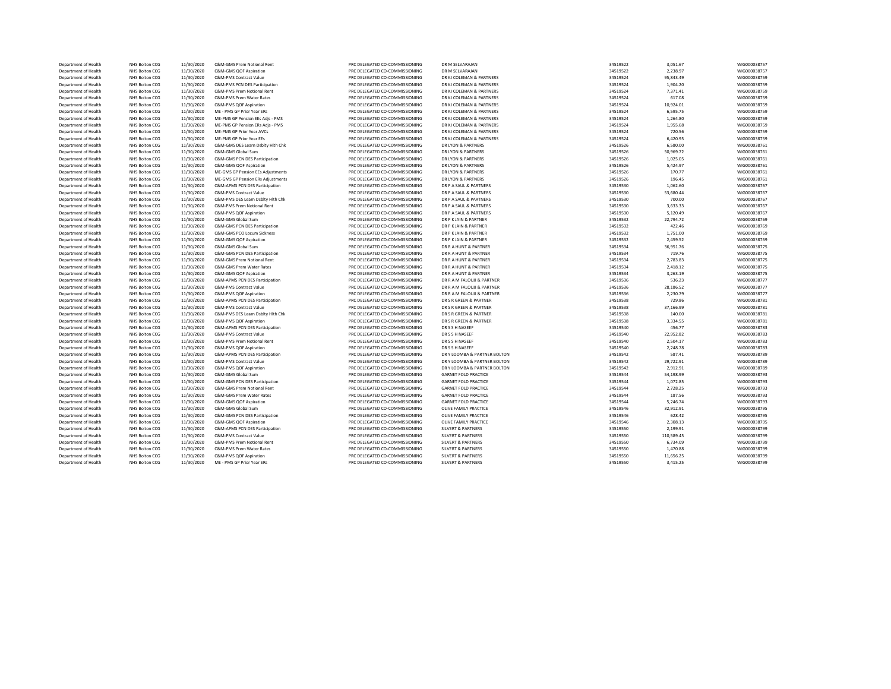| Department of Health | NHS Bolton CCG | 11/30/2020 | C&M-GMS Prem Notional Rent        | PRC DELEGATED CO-COMMISSIONING | DR M SELVARAJAN               | 34519522 | 3,051.67   | WIG000038757 |
|----------------------|----------------|------------|-----------------------------------|--------------------------------|-------------------------------|----------|------------|--------------|
| Department of Health | NHS Bolton CCG | 11/30/2020 | C&M-GMS QOF Aspiration            | PRC DELEGATED CO-COMMISSIONING | DR M SELVARAJAN               | 34519522 | 2,238.97   | WIG000038757 |
| Department of Health | NHS Bolton CCG | 11/30/2020 | <b>C&amp;M-PMS Contract Value</b> | PRC DELEGATED CO-COMMISSIONING | DR KJ COLEMAN & PARTNERS      | 34519524 | 95,843.49  | WIG000038759 |
| Department of Health | NHS Bolton CCG | 11/30/2020 | C&M-PMS PCN DES Participation     | PRC DELEGATED CO-COMMISSIONING | DR KJ COLEMAN & PARTNERS      | 34519524 | 1,904.20   | WIG000038759 |
| Department of Health | NHS Bolton CCG | 11/30/2020 | C&M-PMS Prem Notional Rent        | PRC DELEGATED CO-COMMISSIONING | DR KJ COLEMAN & PARTNERS      | 34519524 | 7,371.41   | WIG000038759 |
| Department of Health | NHS Bolton CCG | 11/30/2020 | C&M-PMS Prem Water Rates          | PRC DELEGATED CO-COMMISSIONING | DR KJ COLEMAN & PARTNERS      | 34519524 | 617.08     | WIG000038759 |
| Department of Health | NHS Bolton CCG | 11/30/2020 | C&M-PMS QOF Aspiration            | PRC DELEGATED CO-COMMISSIONING | DR KJ COLEMAN & PARTNERS      | 34519524 | 10,924.01  | WIG000038759 |
| Department of Health | NHS Bolton CCG | 11/30/2020 | ME - PMS GP Prior Year ERs        | PRC DELEGATED CO-COMMISSIONING | DR KJ COLEMAN & PARTNERS      | 34519524 | 6,595.75   | WIG000038759 |
| Department of Health | NHS Bolton CCG | 11/30/2020 | ME-PMS GP Pension EEs Adjs - PMS  | PRC DELEGATED CO-COMMISSIONING | DR KJ COLEMAN & PARTNERS      | 34519524 | 1,264.80   | WIG000038759 |
| Department of Health | NHS Bolton CCG | 11/30/2020 | ME-PMS GP Pension ERs Adjs - PMS  | PRC DELEGATED CO-COMMISSIONING | DR KJ COLEMAN & PARTNERS      | 34519524 | 1,955.68   | WIG000038759 |
| Department of Health | NHS Bolton CCG | 11/30/2020 | ME-PMS GP Prior Year AVCs         | PRC DELEGATED CO-COMMISSIONING | DR KJ COLEMAN & PARTNERS      | 34519524 | 720.56     | WIG000038759 |
| Department of Health | NHS Bolton CCG | 11/30/2020 | ME-PMS GP Prior Year EEs          | PRC DELEGATED CO-COMMISSIONING | DR KJ COLEMAN & PARTNERS      | 34519524 | 6,420.95   | WIG000038759 |
|                      |                |            |                                   |                                |                               |          |            |              |
| Department of Health | NHS Bolton CCG | 11/30/2020 | C&M-GMS DES Learn Dsblty Hlth Chk | PRC DELEGATED CO-COMMISSIONING | DR LYON & PARTNERS            | 34519526 | 6,580.00   | WIG000038761 |
| Department of Health | NHS Bolton CCG | 11/30/2020 | C&M-GMS Global Sum                | PRC DELEGATED CO-COMMISSIONING | DR LYON & PARTNERS            | 34519526 | 50,969.72  | WIG000038761 |
| Department of Health | NHS Bolton CCG | 11/30/2020 | C&M-GMS PCN DES Participation     | PRC DELEGATED CO-COMMISSIONING | DR LYON & PARTNERS            | 34519526 | 1,025.05   | WIG000038761 |
| Department of Health | NHS Bolton CCG | 11/30/2020 | C&M-GMS QOF Aspiration            | PRC DELEGATED CO-COMMISSIONING | DR LYON & PARTNERS            | 34519526 | 5,424.97   | WIG000038761 |
| Department of Health | NHS Bolton CCG | 11/30/2020 | ME-GMS GP Pension EEs Adjustments | PRC DELEGATED CO-COMMISSIONING | DR LYON & PARTNERS            | 34519526 | 170.77     | WIG000038761 |
| Department of Health | NHS Bolton CCG | 11/30/2020 | ME-GMS GP Pension ERs Adjustments | PRC DELEGATED CO-COMMISSIONING | DR LYON & PARTNERS            | 34519526 | 196.45     | WIG000038761 |
| Department of Health | NHS Bolton CCG | 11/30/2020 | C&M-APMS PCN DES Participation    | PRC DELEGATED CO-COMMISSIONING | DR P A SAUL & PARTNERS        | 34519530 | 1,062.60   | WIG000038767 |
| Department of Health | NHS Bolton CCG | 11/30/2020 | C&M-PMS Contract Value            | PRC DELEGATED CO-COMMISSIONING | DR P A SAUL & PARTNERS        | 34519530 | 53,680.44  | WIG000038767 |
| Department of Health | NHS Bolton CCG | 11/30/2020 | C&M-PMS DES Learn Dsblty Hlth Chk | PRC DELEGATED CO-COMMISSIONING | DR P A SAUL & PARTNERS        | 34519530 | 700.00     | WIG000038767 |
| Department of Health | NHS Bolton CCG | 11/30/2020 | C&M-PMS Prem Notional Rent        | PRC DELEGATED CO-COMMISSIONING | DR P A SAUL & PARTNERS        | 34519530 | 3,633.33   | WIG000038767 |
| Department of Health | NHS Bolton CCG | 11/30/2020 | C&M-PMS QOF Aspiration            | PRC DELEGATED CO-COMMISSIONING | DR P A SAUL & PARTNERS        | 34519530 | 5,120.49   | WIG000038767 |
| Department of Health | NHS Bolton CCG | 11/30/2020 | C&M-GMS Global Sum                | PRC DELEGATED CO-COMMISSIONING | DR P K JAIN & PARTNER         | 34519532 | 22,794.72  | WIG000038769 |
| Department of Health | NHS Bolton CCG | 11/30/2020 | C&M-GMS PCN DES Participation     | PRC DELEGATED CO-COMMISSIONING | DR P K JAIN & PARTNER         | 34519532 | 422.46     | WIG000038769 |
| Department of Health | NHS Bolton CCG | 11/30/2020 | C&M-GMS PCO Locum Sickness        | PRC DELEGATED CO-COMMISSIONING | DR P K JAIN & PARTNER         | 34519532 | 1,751.00   | WIG000038769 |
| Department of Health | NHS Bolton CCG | 11/30/2020 | C&M-GMS QOF Aspiration            | PRC DELEGATED CO-COMMISSIONING | DR P K JAIN & PARTNER         | 34519532 | 2,459.52   | WIG000038769 |
| Department of Health | NHS Bolton CCG | 11/30/2020 | C&M-GMS Global Sum                | PRC DELEGATED CO-COMMISSIONING | DR R A HUNT & PARTNER         | 34519534 | 36,951.76  | WIG000038775 |
| Department of Health | NHS Bolton CCG | 11/30/2020 | C&M-GMS PCN DES Participation     | PRC DELEGATED CO-COMMISSIONING | DR R A HUNT & PARTNER         | 34519534 | 719.76     | WIG000038775 |
| Department of Health | NHS Bolton CCG | 11/30/2020 | C&M-GMS Prem Notional Rent        | PRC DELEGATED CO-COMMISSIONING | DR R A HUNT & PARTNER         | 34519534 | 2,783.83   | WIG000038775 |
| Department of Health | NHS Bolton CCG | 11/30/2020 | C&M-GMS Prem Water Rates          | PRC DELEGATED CO-COMMISSIONING | DR R A HUNT & PARTNER         | 34519534 | 2,418.12   | WIG000038775 |
| Department of Health | NHS Bolton CCG | 11/30/2020 | C&M-GMS QOF Aspiration            | PRC DELEGATED CO-COMMISSIONING | DR R A HUNT & PARTNER         | 34519534 | 3,263.19   | WIG000038775 |
| Department of Health | NHS Bolton CCG | 11/30/2020 | C&M-APMS PCN DES Participation    | PRC DELEGATED CO-COMMISSIONING | DR R A M FALOUJI & PARTNER    | 34519536 | 536.23     | WIG000038777 |
| Department of Health | NHS Bolton CCG | 11/30/2020 | C&M-PMS Contract Value            | PRC DELEGATED CO-COMMISSIONING | DR R A M FALOUJI & PARTNER    | 34519536 | 28,186.52  | WIG000038777 |
| Department of Health | NHS Bolton CCG | 11/30/2020 | C&M-PMS QOF Aspiration            | PRC DELEGATED CO-COMMISSIONING | DR R A M FALOUJI & PARTNER    | 34519536 | 2,230.79   | WIG000038777 |
| Department of Health | NHS Bolton CCG | 11/30/2020 | C&M-APMS PCN DES Participation    | PRC DELEGATED CO-COMMISSIONING | DR S R GREEN & PARTNER        | 34519538 | 729.86     | WIG000038781 |
| Department of Health | NHS Bolton CCG | 11/30/2020 | C&M-PMS Contract Value            | PRC DELEGATED CO-COMMISSIONING | DR S R GREEN & PARTNER        | 34519538 | 37,166.99  | WIG000038781 |
|                      |                |            |                                   | PRC DELEGATED CO-COMMISSIONING | DR S R GREEN & PARTNER        | 34519538 | 140.00     | WIG000038781 |
| Department of Health | NHS Bolton CCG | 11/30/2020 | C&M-PMS DES Learn Dsblty Hith Chk | PRC DELEGATED CO-COMMISSIONING | DR S R GREEN & PARTNER        |          |            |              |
| Department of Health | NHS Bolton CCG | 11/30/2020 | C&M-PMS QOF Aspiration            |                                |                               | 34519538 | 3,334.55   | WIG000038781 |
| Department of Health | NHS Bolton CCG | 11/30/2020 | C&M-APMS PCN DES Participation    | PRC DELEGATED CO-COMMISSIONING | DR S S H NASEEF               | 34519540 | 456.77     | WIG000038783 |
| Department of Health | NHS Bolton CCG | 11/30/2020 | C&M-PMS Contract Value            | PRC DELEGATED CO-COMMISSIONING | DR S S H NASEEF               | 34519540 | 22,952.82  | WIG000038783 |
| Department of Health | NHS Bolton CCG | 11/30/2020 | C&M-PMS Prem Notional Rent        | PRC DELEGATED CO-COMMISSIONING | DR S S H NASEEF               | 34519540 | 2,504.17   | WIG000038783 |
| Department of Health | NHS Bolton CCG | 11/30/2020 | C&M-PMS QOF Aspiration            | PRC DELEGATED CO-COMMISSIONING | DR S S H NASEEF               | 34519540 | 2,248.78   | WIG000038783 |
| Department of Health | NHS Bolton CCG | 11/30/2020 | C&M-APMS PCN DES Participation    | PRC DELEGATED CO-COMMISSIONING | DR Y LOOMBA & PARTNER BOLTON  | 34519542 | 587.41     | WIG000038789 |
| Department of Health | NHS Bolton CCG | 11/30/2020 | C&M-PMS Contract Value            | PRC DELEGATED CO-COMMISSIONING | DR Y LOOMBA & PARTNER BOLTON  | 34519542 | 29,722.91  | WIG000038789 |
| Department of Health | NHS Bolton CCG | 11/30/2020 | C&M-PMS QOF Aspiration            | PRC DELEGATED CO-COMMISSIONING | DR Y LOOMBA & PARTNER BOLTON  | 34519542 | 2,912.91   | WIG000038789 |
| Department of Health | NHS Bolton CCG | 11/30/2020 | C&M-GMS Global Sum                | PRC DELEGATED CO-COMMISSIONING | <b>GARNET FOLD PRACTICE</b>   | 34519544 | 54,198.99  | WIG000038793 |
| Department of Health | NHS Bolton CCG | 11/30/2020 | C&M-GMS PCN DES Participation     | PRC DELEGATED CO-COMMISSIONING | <b>GARNET FOLD PRACTICE</b>   | 34519544 | 1,072.85   | WIG000038793 |
| Department of Health | NHS Bolton CCG | 11/30/2020 | C&M-GMS Prem Notional Rent        | PRC DELEGATED CO-COMMISSIONING | <b>GARNET FOLD PRACTICE</b>   | 34519544 | 2,728.25   | WIG000038793 |
| Department of Health | NHS Bolton CCG | 11/30/2020 | C&M-GMS Prem Water Rates          | PRC DELEGATED CO-COMMISSIONING | <b>GARNET FOLD PRACTICE</b>   | 34519544 | 187.56     | WIG000038793 |
| Department of Health | NHS Bolton CCG | 11/30/2020 | C&M-GMS QOF Aspiration            | PRC DELEGATED CO-COMMISSIONING | <b>GARNET FOLD PRACTICE</b>   | 34519544 | 5,246.74   | WIG000038793 |
| Department of Health | NHS Bolton CCG | 11/30/2020 | C&M-GMS Global Sum                | PRC DELEGATED CO-COMMISSIONING | OLIVE FAMILY PRACTICE         | 34519546 | 32,912.91  | WIG000038795 |
| Department of Health | NHS Bolton CCG | 11/30/2020 | C&M-GMS PCN DES Participation     | PRC DELEGATED CO-COMMISSIONING | OLIVE FAMILY PRACTICE         | 34519546 | 628.42     | WIG000038795 |
| Department of Health | NHS Bolton CCG | 11/30/2020 | C&M-GMS QOF Aspiration            | PRC DELEGATED CO-COMMISSIONING | OLIVE FAMILY PRACTICE         | 34519546 | 2.308.13   | WIG000038795 |
| Department of Health | NHS Bolton CCG | 11/30/2020 | C&M-APMS PCN DES Participation    | PRC DELEGATED CO-COMMISSIONING | SILVERT & PARTNERS            | 34519550 | 2,199.91   | WIG000038799 |
| Department of Health | NHS Bolton CCG | 11/30/2020 | <b>C&amp;M-PMS Contract Value</b> | PRC DELEGATED CO-COMMISSIONING | <b>SILVERT &amp; PARTNERS</b> | 34519550 | 110,589.45 | WIG000038799 |
| Department of Health | NHS Bolton CCG | 11/30/2020 | C&M-PMS Prem Notional Rent        | PRC DELEGATED CO-COMMISSIONING | <b>SILVERT &amp; PARTNERS</b> | 34519550 | 6,734.09   | WIG000038799 |
| Department of Health | NHS Bolton CCG | 11/30/2020 | C&M-PMS Prem Water Rates          | PRC DELEGATED CO-COMMISSIONING | <b>SILVERT &amp; PARTNERS</b> | 34519550 | 1,470.88   | WIG000038799 |
| Department of Health | NHS Bolton CCG | 11/30/2020 | C&M-PMS QOF Aspiration            | PRC DELEGATED CO-COMMISSIONING | <b>SILVERT &amp; PARTNERS</b> | 34519550 | 11,656.25  | WIG000038799 |
| Department of Health | NHS Bolton CCG | 11/30/2020 | ME - PMS GP Prior Year ERs        | PRC DELEGATED CO-COMMISSIONING | <b>SILVERT &amp; PARTNERS</b> | 34519550 | 3,415.25   | WIG000038799 |
|                      |                |            |                                   |                                |                               |          |            |              |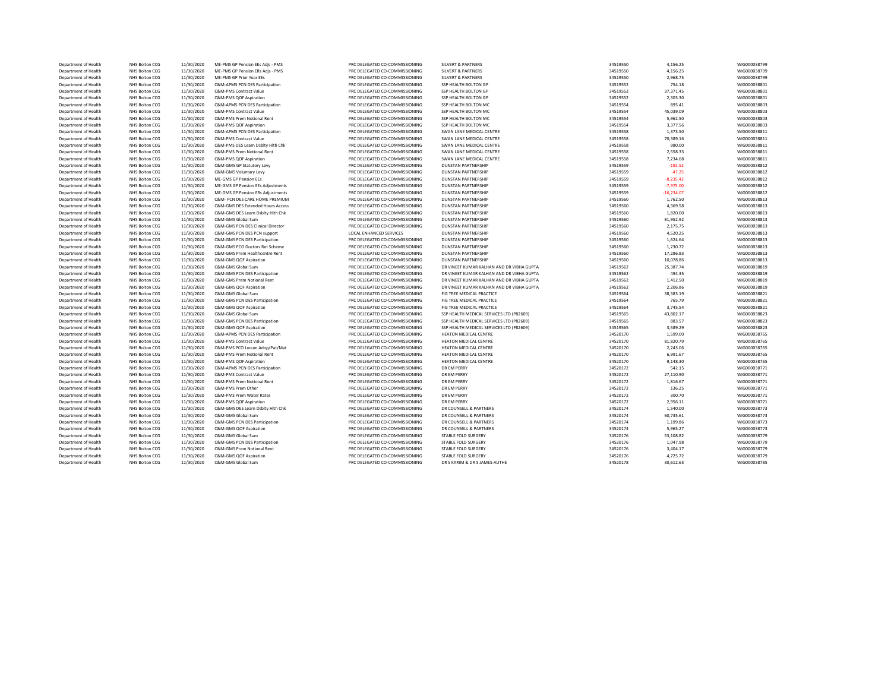| Department of Health | NHS Bolton CCG        | 11/30/2020 | ME-PMS GP Pension EEs Adjs - PMS  | PRC DELEGATED CO-COMMISSIONING | <b>SILVERT &amp; PARTNERS</b>             | 34519550 | 4,156.25     | WIG000038799 |
|----------------------|-----------------------|------------|-----------------------------------|--------------------------------|-------------------------------------------|----------|--------------|--------------|
| Department of Health | NHS Bolton CCG        | 11/30/2020 | ME-PMS GP Pension ERs Adjs - PMS  | PRC DELEGATED CO-COMMISSIONING | <b>SILVERT &amp; PARTNERS</b>             | 34519550 | 4,156.25     | WIG000038799 |
| Department of Health | NHS Bolton CCG        | 11/30/2020 | ME-PMS GP Prior Year EEs          | PRC DELEGATED CO-COMMISSIONING | <b>SILVERT &amp; PARTNERS</b>             | 34519550 | 2,968.75     | WIG000038799 |
| Department of Health | NHS Bolton CCG        | 11/30/2020 | C&M-APMS PCN DES Participation    | PRC DELEGATED CO-COMMISSIONING | SSP HEALTH BOLTON GP                      | 34519552 | 754.18       | WIG000038801 |
| Department of Health | NHS Bolton CCG        | 11/30/2020 | C&M-PMS Contract Value            | PRC DELEGATED CO-COMMISSIONING | SSP HEALTH BOLTON GP                      | 34519552 | 37,371.45    | WIG000038801 |
| Department of Health | NHS Bolton CCG        | 11/30/2020 | C&M-PMS QOF Aspiration            | PRC DELEGATED CO-COMMISSIONING | SSP HEALTH BOLTON GP                      | 34519552 | 2,303.30     | WIG000038801 |
| Department of Health | NHS Bolton CCG        | 11/30/2020 | C&M-APMS PCN DES Participation    | PRC DELEGATED CO-COMMISSIONING | SSP HEALTH BOLTON MC                      | 34519554 | 895.41       | WIG000038803 |
| Department of Health | NHS Bolton CCG        | 11/30/2020 | C&M-PMS Contract Value            | PRC DELEGATED CO-COMMISSIONING | SSP HEALTH BOLTON MC                      | 34519554 | 45,039.09    | WIG000038803 |
| Department of Health | NHS Bolton CCG        | 11/30/2020 | C&M-PMS Prem Notional Rent        | PRC DELEGATED CO-COMMISSIONING | SSP HEALTH BOLTON MC                      | 34519554 | 5,962.50     | WIG000038803 |
| Department of Health | NHS Bolton CCG        | 11/30/2020 | C&M-PMS QOF Aspiration            | PRC DELEGATED CO-COMMISSIONING | SSP HEALTH BOLTON MC                      | 34519554 | 3,377.56     | WIG000038803 |
| Department of Health | NHS Bolton CCG        | 11/30/2020 | C&M-APMS PCN DES Participation    | PRC DELEGATED CO-COMMISSIONING | SWAN LANE MEDICAL CENTRE                  | 34519558 | 1,373.50     | WIG000038811 |
| Department of Health | NHS Bolton CCG        | 11/30/2020 | C&M-PMS Contract Value            | PRC DELEGATED CO-COMMISSIONING | SWAN LANE MEDICAL CENTRE                  | 34519558 | 70,389.16    | WIG000038811 |
| Department of Health | NHS Bolton CCG        | 11/30/2020 | C&M-PMS DES Learn Dsblty Hlth Chk | PRC DELEGATED CO-COMMISSIONING | SWAN LANE MEDICAL CENTRE                  | 34519558 | 980.00       | WIG000038811 |
| Department of Health | NHS Bolton CCG        | 11/30/2020 | C&M-PMS Prem Notional Rent        | PRC DELEGATED CO-COMMISSIONING | SWAN LANE MEDICAL CENTRE                  | 34519558 | 2,558.33     | WIG000038811 |
| Department of Health | NHS Bolton CCG        | 11/30/2020 | C&M-PMS QOF Aspiration            | PRC DELEGATED CO-COMMISSIONING | SWAN LANE MEDICAL CENTRE                  | 34519558 | 7,234.68     | WIG000038811 |
| Department of Health | NHS Bolton CCG        | 11/30/2020 | C&M-GMS GP Statutory Levy         | PRC DELEGATED CO-COMMISSIONING | <b>DUNSTAN PARTNERSHIP</b>                | 34519559 | $-192.52$    | WIG000038812 |
| Department of Health | NHS Bolton CCG        | 11/30/2020 | C&M-GMS Voluntary Levy            | PRC DELEGATED CO-COMMISSIONING | <b>DUNSTAN PARTNERSHIP</b>                | 34519559 | $-47.25$     | WIG000038812 |
| Department of Health | NHS Bolton CCG        | 11/30/2020 | ME-GMS GP Pension EEs             | PRC DELEGATED CO-COMMISSIONING | <b>DUNSTAN PARTNERSHIP</b>                | 34519559 | $-8,235.42$  | WIG000038812 |
| Department of Health | NHS Bolton CCG        | 11/30/2020 | ME-GMS GP Pension EEs Adjustments | PRC DELEGATED CO-COMMISSIONING | <b>DUNSTAN PARTNERSHIP</b>                | 34519559 | $-7.975.00$  | WIG000038812 |
| Department of Health | NHS Bolton CCG        | 11/30/2020 | ME-GMS GP Pension ERs Adjustments | PRC DELEGATED CO-COMMISSIONING | <b>DUNSTAN PARTNERSHIP</b>                | 34519559 | $-16,234.07$ | WIG000038812 |
| Department of Health | NHS Bolton CCG        | 11/30/2020 | C&M- PCN DES CARE HOME PREMIUM    | PRC DELEGATED CO-COMMISSIONING | <b>DUNSTAN PARTNERSHIP</b>                | 34519560 | 1,762.50     | WIG000038813 |
| Department of Health | NHS Bolton CCG        | 11/30/2020 | C&M-GMS DES Extended Hours Access | PRC DELEGATED CO-COMMISSIONING | <b>DUNSTAN PARTNERSHIP</b>                | 34519560 | 4,369.58     | WIG000038813 |
| Department of Health | NHS Bolton CCG        | 11/30/2020 | C&M-GMS DES Learn Dsblty Hith Chk | PRC DELEGATED CO-COMMISSIONING | <b>DUNSTAN PARTNERSHIP</b>                | 34519560 | 1,820.00     | WIG000038813 |
| Department of Health | NHS Bolton CCG        | 11/30/2020 | C&M-GMS Global Sum                | PRC DELEGATED CO-COMMISSIONING | <b>DUNSTAN PARTNERSHIP</b>                | 34519560 | 81,952.92    | WIG000038813 |
| Department of Health | NHS Bolton CCG        | 11/30/2020 | C&M-GMS PCN DES Clinical Director | PRC DELEGATED CO-COMMISSIONING | <b>DUNSTAN PARTNERSHIP</b>                | 34519560 | 2,175.75     | WIG000038813 |
| Department of Health | NHS Bolton CCG        | 11/30/2020 | C&M-GMS PCN DES PCN support       | LOCAL ENHANCED SERVICES        | <b>DUNSTAN PARTNERSHIP</b>                | 34519560 | 4,520.25     | WIG000038813 |
| Department of Health | NHS Bolton CCG        | 11/30/2020 | C&M-GMS PCN DES Participation     | PRC DELEGATED CO-COMMISSIONING | <b>DUNSTAN PARTNERSHIP</b>                | 34519560 | 1,624.64     | WIG000038813 |
| Department of Health | NHS Bolton CCG        | 11/30/2020 | C&M-GMS PCO Doctors Ret Scheme    | PRC DELEGATED CO-COMMISSIONING | <b>DUNSTAN PARTNERSHIP</b>                | 34519560 | 1,230.72     | WIG000038813 |
| Department of Health | NHS Bolton CCG        | 11/30/2020 | C&M-GMS Prem Healthcentre Rent    | PRC DELEGATED CO-COMMISSIONING | <b>DUNSTAN PARTNERSHIP</b>                | 34519560 | 17,286.83    | WIG000038813 |
| Department of Health | NHS Bolton CCG        | 11/30/2020 | C&M-GMS QOF Aspiration            | PRC DELEGATED CO-COMMISSIONING | <b>DUNSTAN PARTNERSHIP</b>                | 34519560 | 10,078.86    | WIG000038813 |
| Department of Health | NHS Bolton CCG        | 11/30/2020 | C&M-GMS Global Sum                | PRC DELEGATED CO-COMMISSIONING | DR VINEET KUMAR KALHAN AND DR VIBHA GUPTA | 34519562 | 25,387.74    | WIG000038819 |
| Department of Health | NHS Bolton CCG        | 11/30/2020 | C&M-GMS PCN DES Participation     | PRC DELEGATED CO-COMMISSIONING | DR VINEET KUMAR KALHAN AND DR VIBHA GUPTA | 34519562 | 494.35       | WIG000038819 |
| Department of Health | NHS Bolton CCG        | 11/30/2020 | C&M-GMS Prem Notional Rent        | PRC DELEGATED CO-COMMISSIONING | DR VINEET KUMAR KALHAN AND DR VIBHA GUPTA | 34519562 | 1,412.50     | WIG000038819 |
| Department of Health | NHS Bolton CCG        | 11/30/2020 | C&M-GMS QOF Aspiration            | PRC DELEGATED CO-COMMISSIONING | DR VINEET KUMAR KALHAN AND DR VIBHA GUPTA | 34519562 | 2,206.86     | WIG000038819 |
| Department of Health | NHS Bolton CCG        | 11/30/2020 | C&M-GMS Global Sum                | PRC DELEGATED CO-COMMISSIONING | FIG TREE MEDICAL PRACTICE                 | 34519564 | 38,383.19    | WIG000038821 |
| Department of Health | NHS Bolton CCG        | 11/30/2020 | C&M-GMS PCN DES Participation     | PRC DELEGATED CO-COMMISSIONING | FIG TREE MEDICAL PRACTICE                 | 34519564 | 765.79       | WIG000038821 |
| Department of Health | NHS Bolton CCG        | 11/30/2020 | C&M-GMS QOF Aspiration            | PRC DELEGATED CO-COMMISSIONING | FIG TREE MEDICAL PRACTICE                 | 34519564 | 3,745.54     | WIG000038821 |
| Department of Health | NHS Bolton CCG        | 11/30/2020 | C&M-GMS Global Sum                | PRC DELEGATED CO-COMMISSIONING | SSP HEALTH MEDICAL SERVICES LTD (P82609)  | 34519565 | 43,802.17    | WIG000038823 |
| Department of Health | NHS Bolton CCG        | 11/30/2020 | C&M-GMS PCN DES Participation     | PRC DELEGATED CO-COMMISSIONING | SSP HEALTH MEDICAL SERVICES LTD (P82609)  | 34519565 | 883.57       | WIG000038823 |
| Department of Health | NHS Bolton CCG        | 11/30/2020 | C&M-GMS QOF Aspiration            | PRC DELEGATED CO-COMMISSIONING | SSP HEALTH MEDICAL SERVICES LTD (P82609)  | 34519565 | 3,589.29     | WIG000038823 |
| Department of Health | NHS Bolton CCG        | 11/30/2020 | C&M-APMS PCN DES Participation    | PRC DELEGATED CO-COMMISSIONING | HEATON MEDICAL CENTRE                     | 34520170 | 1,599.00     | WIG000038765 |
| Department of Health | NHS Bolton CCG        | 11/30/2020 | C&M-PMS Contract Value            | PRC DELEGATED CO-COMMISSIONING | HEATON MEDICAL CENTRE                     | 34520170 | 81,820.79    | WIG000038765 |
| Department of Health | NHS Bolton CCG        | 11/30/2020 | C&M-PMS PCO Locum Adop/Pat/Mat    | PRC DELEGATED CO-COMMISSIONING | <b>HEATON MEDICAL CENTRE</b>              | 34520170 | 2,243.06     | WIG000038765 |
| Department of Health | <b>NHS Bolton CCG</b> | 11/30/2020 | C&M-PMS Prem Notional Rent        | PRC DELEGATED CO-COMMISSIONING | <b>HEATON MEDICAL CENTRE</b>              | 34520170 | 6,991.67     | WIG000038765 |
| Department of Health | <b>NHS Bolton CCG</b> | 11/30/2020 | C&M-PMS QOF Aspiration            | PRC DELEGATED CO-COMMISSIONING | HEATON MEDICAL CENTRE                     | 34520170 | 9,148.30     | WIG000038765 |
| Department of Health | NHS Bolton CCG        | 11/30/2020 | C&M-APMS PCN DES Participation    | PRC DELEGATED CO-COMMISSIONING | <b>DR EM PERRY</b>                        | 34520172 | 542.15       | WIG000038771 |
| Department of Health | NHS Bolton CCG        | 11/30/2020 | <b>C&amp;M-PMS Contract Value</b> | PRC DELEGATED CO-COMMISSIONING | <b>DR EM PERRY</b>                        | 34520172 | 27,110.90    | WIG000038771 |
| Department of Health | <b>NHS Bolton CCG</b> | 11/30/2020 | C&M-PMS Prem Notional Rent        | PRC DELEGATED CO-COMMISSIONING | <b>DR EM PERRY</b>                        | 34520172 | 1,816.67     | WIG000038771 |
| Department of Health | NHS Bolton CCG        | 11/30/2020 | C&M-PMS Prem Other                | PRC DELEGATED CO-COMMISSIONING | DR EM PERRY                               | 34520172 | 136.25       | WIG000038771 |
| Department of Health | NHS Bolton CCG        | 11/30/2020 | C&M-PMS Prem Water Rates          | PRC DELEGATED CO-COMMISSIONING | DR EM PERRY                               | 34520172 | 300.70       | WIG000038771 |
| Department of Health | NHS Bolton CCG        | 11/30/2020 | C&M-PMS QOF Aspiration            | PRC DELEGATED CO-COMMISSIONING | DR EM PERRY                               | 34520172 | 2,956.11     | WIG000038771 |
| Department of Health | NHS Bolton CCG        | 11/30/2020 | C&M-GMS DES Learn Dsblty Hlth Chk | PRC DELEGATED CO-COMMISSIONING | DR COUNSELL & PARTNERS                    | 34520174 | 1,540.00     | WIG000038773 |
| Department of Health | NHS Bolton CCG        | 11/30/2020 | C&M-GMS Global Sum                | PRC DELEGATED CO-COMMISSIONING | DR COUNSELL & PARTNERS                    | 34520174 | 60,735.61    | WIG000038773 |
| Department of Health | NHS Bolton CCG        | 11/30/2020 | C&M-GMS PCN DES Participation     | PRC DELEGATED CO-COMMISSIONING | DR COUNSELL & PARTNERS                    | 34520174 | 1,199.86     | WIG000038773 |
| Department of Health | NHS Bolton CCG        | 11/30/2020 | C&M-GMS QOF Aspiration            | PRC DELEGATED CO-COMMISSIONING | DR COUNSELL & PARTNERS                    | 34520174 | 5,965.27     | WIG000038773 |
| Department of Health | NHS Bolton CCG        | 11/30/2020 | C&M-GMS Global Sum                | PRC DELEGATED CO-COMMISSIONING | STABLE FOLD SURGERY                       | 34520176 | 53,108.82    | WIG000038779 |
| Department of Health | NHS Bolton CCG        | 11/30/2020 | C&M-GMS PCN DES Participation     | PRC DELEGATED CO-COMMISSIONING | STABLE FOLD SURGERY                       | 34520176 | 1,047.98     | WIG000038779 |
| Department of Health | NHS Bolton CCG        | 11/30/2020 | C&M-GMS Prem Notional Rent        | PRC DELEGATED CO-COMMISSIONING | STABLE FOLD SURGERY                       | 34520176 | 3,404.17     | WIG000038779 |
| Department of Health | NHS Bolton CCG        | 11/30/2020 | C&M-GMS QOF Aspiration            | PRC DELEGATED CO-COMMISSIONING | STABLE FOLD SURGERY                       | 34520176 | 4,725.72     | WIG000038779 |
| Department of Health | NHS Bolton CCG        | 11/30/2020 | C&M-GMS Global Sum                | PRC DELEGATED CO-COMMISSIONING | DR S KARIM & DR S JAMES-AUTHE             | 34520178 | 30,612.63    | WIG000038785 |